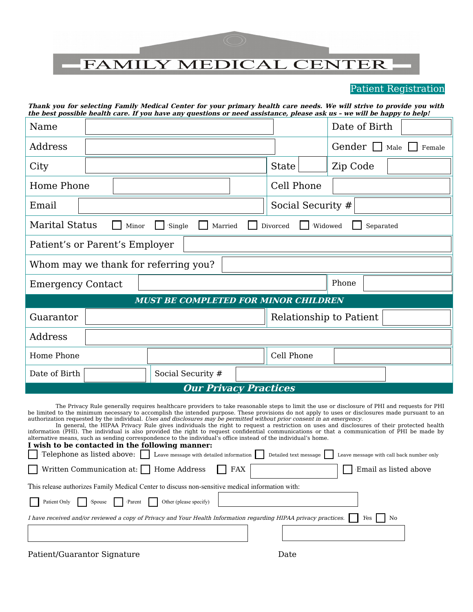

## Patient Registration

| Thank you for selecting Family Medical Center for your primary health care needs. We will strive to provide you with<br>the best possible health care. If you have any questions or need assistance, please ask us - we will be happy to help!                                                                                                                                                                                                                                                                                                                                                                                                                                                                                                                                                                                                                                                                                                                                                                                                                                                                                                                                                                                                                                                                                                                                                                                          |  |  |  |                              |  |                                             |                    |        |
|-----------------------------------------------------------------------------------------------------------------------------------------------------------------------------------------------------------------------------------------------------------------------------------------------------------------------------------------------------------------------------------------------------------------------------------------------------------------------------------------------------------------------------------------------------------------------------------------------------------------------------------------------------------------------------------------------------------------------------------------------------------------------------------------------------------------------------------------------------------------------------------------------------------------------------------------------------------------------------------------------------------------------------------------------------------------------------------------------------------------------------------------------------------------------------------------------------------------------------------------------------------------------------------------------------------------------------------------------------------------------------------------------------------------------------------------|--|--|--|------------------------------|--|---------------------------------------------|--------------------|--------|
| Name                                                                                                                                                                                                                                                                                                                                                                                                                                                                                                                                                                                                                                                                                                                                                                                                                                                                                                                                                                                                                                                                                                                                                                                                                                                                                                                                                                                                                                    |  |  |  |                              |  |                                             | Date of Birth      |        |
| Address                                                                                                                                                                                                                                                                                                                                                                                                                                                                                                                                                                                                                                                                                                                                                                                                                                                                                                                                                                                                                                                                                                                                                                                                                                                                                                                                                                                                                                 |  |  |  |                              |  |                                             | Gender $\Box$ Male | Female |
| City                                                                                                                                                                                                                                                                                                                                                                                                                                                                                                                                                                                                                                                                                                                                                                                                                                                                                                                                                                                                                                                                                                                                                                                                                                                                                                                                                                                                                                    |  |  |  |                              |  | <b>State</b>                                | Zip Code           |        |
| Home Phone                                                                                                                                                                                                                                                                                                                                                                                                                                                                                                                                                                                                                                                                                                                                                                                                                                                                                                                                                                                                                                                                                                                                                                                                                                                                                                                                                                                                                              |  |  |  |                              |  | Cell Phone                                  |                    |        |
| Email                                                                                                                                                                                                                                                                                                                                                                                                                                                                                                                                                                                                                                                                                                                                                                                                                                                                                                                                                                                                                                                                                                                                                                                                                                                                                                                                                                                                                                   |  |  |  |                              |  | Social Security #                           |                    |        |
| <b>Marital Status</b><br>Minor<br>Single<br>Married<br>Widowed<br>Divorced<br>Separated                                                                                                                                                                                                                                                                                                                                                                                                                                                                                                                                                                                                                                                                                                                                                                                                                                                                                                                                                                                                                                                                                                                                                                                                                                                                                                                                                 |  |  |  |                              |  |                                             |                    |        |
| Patient's or Parent's Employer                                                                                                                                                                                                                                                                                                                                                                                                                                                                                                                                                                                                                                                                                                                                                                                                                                                                                                                                                                                                                                                                                                                                                                                                                                                                                                                                                                                                          |  |  |  |                              |  |                                             |                    |        |
| Whom may we thank for referring you?                                                                                                                                                                                                                                                                                                                                                                                                                                                                                                                                                                                                                                                                                                                                                                                                                                                                                                                                                                                                                                                                                                                                                                                                                                                                                                                                                                                                    |  |  |  |                              |  |                                             |                    |        |
| <b>Emergency Contact</b>                                                                                                                                                                                                                                                                                                                                                                                                                                                                                                                                                                                                                                                                                                                                                                                                                                                                                                                                                                                                                                                                                                                                                                                                                                                                                                                                                                                                                |  |  |  |                              |  |                                             | Phone              |        |
|                                                                                                                                                                                                                                                                                                                                                                                                                                                                                                                                                                                                                                                                                                                                                                                                                                                                                                                                                                                                                                                                                                                                                                                                                                                                                                                                                                                                                                         |  |  |  |                              |  | <b>MUST BE COMPLETED FOR MINOR CHILDREN</b> |                    |        |
| Guarantor                                                                                                                                                                                                                                                                                                                                                                                                                                                                                                                                                                                                                                                                                                                                                                                                                                                                                                                                                                                                                                                                                                                                                                                                                                                                                                                                                                                                                               |  |  |  |                              |  | Relationship to Patient                     |                    |        |
| Address                                                                                                                                                                                                                                                                                                                                                                                                                                                                                                                                                                                                                                                                                                                                                                                                                                                                                                                                                                                                                                                                                                                                                                                                                                                                                                                                                                                                                                 |  |  |  |                              |  |                                             |                    |        |
| Home Phone                                                                                                                                                                                                                                                                                                                                                                                                                                                                                                                                                                                                                                                                                                                                                                                                                                                                                                                                                                                                                                                                                                                                                                                                                                                                                                                                                                                                                              |  |  |  |                              |  | Cell Phone                                  |                    |        |
| Date of Birth                                                                                                                                                                                                                                                                                                                                                                                                                                                                                                                                                                                                                                                                                                                                                                                                                                                                                                                                                                                                                                                                                                                                                                                                                                                                                                                                                                                                                           |  |  |  | Social Security #            |  |                                             |                    |        |
|                                                                                                                                                                                                                                                                                                                                                                                                                                                                                                                                                                                                                                                                                                                                                                                                                                                                                                                                                                                                                                                                                                                                                                                                                                                                                                                                                                                                                                         |  |  |  | <b>Our Privacy Practices</b> |  |                                             |                    |        |
| The Privacy Rule generally requires healthcare providers to take reasonable steps to limit the use or disclosure of PHI and requests for PHI<br>be limited to the minimum necessary to accomplish the intended purpose. These provisions do not apply to uses or disclosures made pursuant to an<br>authorization requested by the individual. Uses and disclosures may be permitted without prior consent in an emergency.<br>In general, the HIPAA Privacy Rule gives individuals the right to request a restriction on uses and disclosures of their protected health<br>information (PHI). The individual is also provided the right to request confidential communications or that a communication of PHI be made by<br>alternative means, such as sending correspondence to the individual's office instead of the individual's home.<br>I wish to be contacted in the following manner:<br>Telephone as listed above:<br>Leave message with detailed information<br>Detailed text message<br>Leave message with call back number only<br>Written Communication at:    <br><b>FAX</b><br>Email as listed above<br>Home Address<br>This release authorizes Family Medical Center to discuss non-sensitive medical information with:<br>Patient Only<br>Spouse<br>Parent<br>Other (please specify)<br>I have received and/or reviewed a copy of Privacy and Your Health Information regarding HIPAA privacy practices.<br>Yes<br>No |  |  |  |                              |  |                                             |                    |        |
|                                                                                                                                                                                                                                                                                                                                                                                                                                                                                                                                                                                                                                                                                                                                                                                                                                                                                                                                                                                                                                                                                                                                                                                                                                                                                                                                                                                                                                         |  |  |  |                              |  |                                             |                    |        |

Patient/Guarantor Signature Date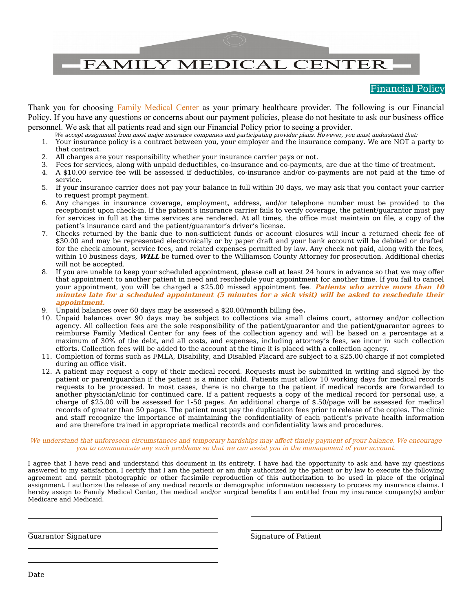## **FAMILY MEDICAL CENTER**

### Financial Policy

Thank you for choosing Family Medical Center as your primary healthcare provider. The following is our Financial Policy. If you have any questions or concerns about our payment policies, please do not hesitate to ask our business office personnel. We ask that all patients read and sign our Financial Policy prior to seeing a provider.

- We accept assignment from most major insurance companies and participating provider plans. However, you must understand that:
- 1. Your insurance policy is a contract between you, your employer and the insurance company. We are NOT a party to that contract.
- 2. All charges are your responsibility whether your insurance carrier pays or not.
- 3. Fees for services, along with unpaid deductibles, co-insurance and co-payments, are due at the time of treatment.
- 4. A \$10.00 service fee will be assessed if deductibles, co-insurance and/or co-payments are not paid at the time of service.
- 5. If your insurance carrier does not pay your balance in full within 30 days, we may ask that you contact your carrier to request prompt payment.
- 6. Any changes in insurance coverage, employment, address, and/or telephone number must be provided to the receptionist upon check-in. If the patient's insurance carrier fails to verify coverage, the patient/guarantor must pay for services in full at the time services are rendered. At all times, the office must maintain on file, a copy of the patient's insurance card and the patient/guarantor's driver's license.
- 7. Checks returned by the bank due to non-sufficient funds or account closures will incur a returned check fee of \$30.00 and may be represented electronically or by paper draft and your bank account will be debited or drafted for the check amount, service fees, and related expenses permitted by law. Any check not paid, along with the fees, within 10 business days, **WILL** be turned over to the Williamson County Attorney for prosecution. Additional checks will not be accepted.
- 8. If you are unable to keep your scheduled appointment, please call at least 24 hours in advance so that we may offer that appointment to another patient in need and reschedule your appointment for another time. If you fail to cancel your appointment, you will be charged a \$25.00 missed appointment fee. **Patients who arrive more than 10 minutes late for a scheduled appointment (5 minutes for a sick visit) will be asked to reschedule their appointment.**
- 9. Unpaid balances over 60 days may be assessed a \$20.00/month billing fee**.**
- 10. Unpaid balances over 90 days may be subject to collections via small claims court, attorney and/or collection agency. All collection fees are the sole responsibility of the patient/guarantor and the patient/guarantor agrees to reimburse Family Medical Center for any fees of the collection agency and will be based on a percentage at a maximum of 30% of the debt, and all costs, and expenses, including attorney's fees, we incur in such collection efforts. Collection fees will be added to the account at the time it is placed with a collection agency.
- 11. Completion of forms such as FMLA, Disability, and Disabled Placard are subject to a \$25.00 charge if not completed during an office visit.
- 12. A patient may request a copy of their medical record. Requests must be submitted in writing and signed by the patient or parent/guardian if the patient is a minor child. Patients must allow 10 working days for medical records requests to be processed. In most cases, there is no charge to the patient if medical records are forwarded to another physician/clinic for continued care. If a patient requests a copy of the medical record for personal use, a charge of \$25.00 will be assessed for 1-50 pages. An additional charge of \$.50/page will be assessed for medical records of greater than 50 pages. The patient must pay the duplication fees prior to release of the copies. The clinic and staff recognize the importance of maintaining the confidentiality of each patient's private health information and are therefore trained in appropriate medical records and confidentiality laws and procedures.

#### We understand that unforeseen circumstances and temporary hardships may affect timely payment of your balance. We encourage you to communicate any such problems so that we can assist you in the management of your account.

I agree that I have read and understand this document in its entirety. I have had the opportunity to ask and have my questions answered to my satisfaction. I certify that I am the patient or am duly authorized by the patient or by law to execute the following agreement and permit photographic or other facsimile reproduction of this authorization to be used in place of the original assignment. I authorize the release of any medical records or demographic information necessary to process my insurance claims. I hereby assign to Family Medical Center, the medical and/or surgical benefits I am entitled from my insurance company(s) and/or Medicare and Medicaid.

Guarantor Signature Signature Signature Signature of Patient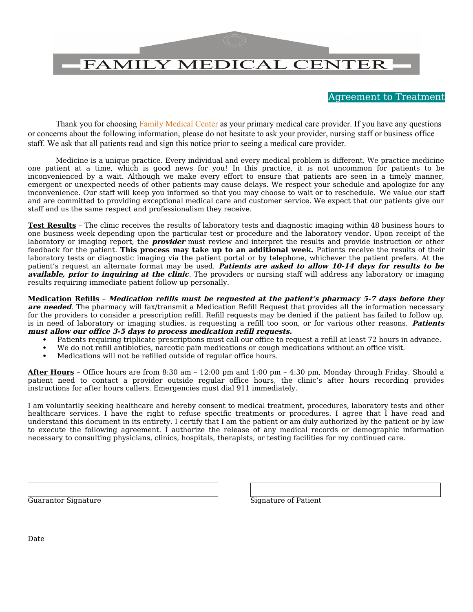

## Agreement to Treatment

Thank you for choosing Family Medical Center as your primary medical care provider. If you have any questions or concerns about the following information, please do not hesitate to ask your provider, nursing staff or business office staff. We ask that all patients read and sign this notice prior to seeing a medical care provider.

Medicine is a unique practice. Every individual and every medical problem is different. We practice medicine one patient at a time, which is good news for you! In this practice, it is not uncommon for patients to be inconvenienced by a wait. Although we make every effort to ensure that patients are seen in a timely manner, emergent or unexpected needs of other patients may cause delays. We respect your schedule and apologize for any inconvenience. Our staff will keep you informed so that you may choose to wait or to reschedule. We value our staff and are committed to providing exceptional medical care and customer service. We expect that our patients give our staff and us the same respect and professionalism they receive.

**Test Results** – The clinic receives the results of laboratory tests and diagnostic imaging within 48 business hours to one business week depending upon the particular test or procedure and the laboratory vendor. Upon receipt of the laboratory or imaging report, the **provider** must review and interpret the results and provide instruction or other feedback for the patient. **This process may take up to an additional week.** Patients receive the results of their laboratory tests or diagnostic imaging via the patient portal or by telephone, whichever the patient prefers. At the patient's request an alternate format may be used. **Patients are asked to allow 10-14 days for results to be available, prior to inquiring at the clinic**. The providers or nursing staff will address any laboratory or imaging results requiring immediate patient follow up personally.

**Medication Refills** – **Medication refills must be requested at the patient's pharmacy 5-7 days before they are needed**. The pharmacy will fax/transmit a Medication Refill Request that provides all the information necessary for the providers to consider a prescription refill. Refill requests may be denied if the patient has failed to follow up, is in need of laboratory or imaging studies, is requesting a refill too soon, or for various other reasons. **Patients must allow our office 3-5 days to process medication refill requests.**

- Patients requiring triplicate prescriptions must call our office to request a refill at least 72 hours in advance.
- We do not refill antibiotics, narcotic pain medications or cough medications without an office visit.
- Medications will not be refilled outside of regular office hours.

**After Hours** – Office hours are from 8:30 am – 12:00 pm and 1:00 pm – 4:30 pm, Monday through Friday. Should a patient need to contact a provider outside regular office hours, the clinic's after hours recording provides instructions for after hours callers. Emergencies must dial 911 immediately.

I am voluntarily seeking healthcare and hereby consent to medical treatment, procedures, laboratory tests and other healthcare services. I have the right to refuse specific treatments or procedures. I agree that I have read and understand this document in its entirety. I certify that I am the patient or am duly authorized by the patient or by law to execute the following agreement. I authorize the release of any medical records or demographic information necessary to consulting physicians, clinics, hospitals, therapists, or testing facilities for my continued care.

| <b>Guarantor Signature</b> |
|----------------------------|

Signature of Patient

Date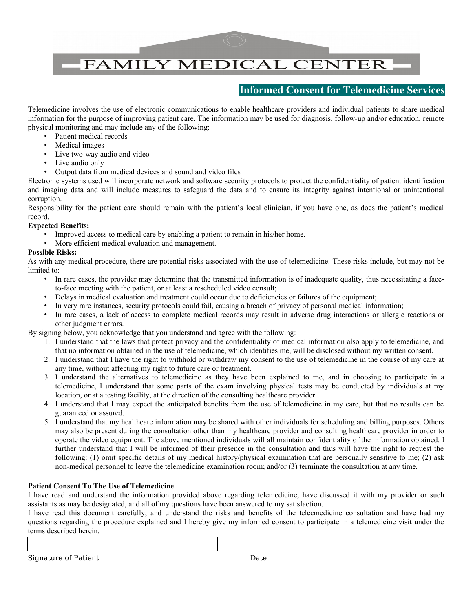# **FAMILY MEDICAL CENTER**

## **Informed Consent for Telemedicine Services**

Telemedicine involves the use of electronic communications to enable healthcare providers and individual patients to share medical information for the purpose of improving patient care. The information may be used for diagnosis, follow-up and/or education, remote physical monitoring and may include any of the following:

- Patient medical records
- Medical images
- Live two-way audio and video
- Live audio only
- Output data from medical devices and sound and video files

Electronic systems used will incorporate network and software security protocols to protect the confidentiality of patient identification and imaging data and will include measures to safeguard the data and to ensure its integrity against intentional or unintentional corruption.

Responsibility for the patient care should remain with the patient's local clinician, if you have one, as does the patient's medical record.

### **Expected Benefits:**

- Improved access to medical care by enabling a patient to remain in his/her home.
- More efficient medical evaluation and management.

### **Possible Risks:**

As with any medical procedure, there are potential risks associated with the use of telemedicine. These risks include, but may not be limited to:

- In rare cases, the provider may determine that the transmitted information is of inadequate quality, thus necessitating a faceto-face meeting with the patient, or at least a rescheduled video consult;
- Delays in medical evaluation and treatment could occur due to deficiencies or failures of the equipment;
- In very rare instances, security protocols could fail, causing a breach of privacy of personal medical information;
- In rare cases, a lack of access to complete medical records may result in adverse drug interactions or allergic reactions or other judgment errors.

By signing below, you acknowledge that you understand and agree with the following:

- 1. I understand that the laws that protect privacy and the confidentiality of medical information also apply to telemedicine, and that no information obtained in the use of telemedicine, which identifies me, will be disclosed without my written consent.
- 2. I understand that I have the right to withhold or withdraw my consent to the use of telemedicine in the course of my care at any time, without affecting my right to future care or treatment.
- 3. I understand the alternatives to telemedicine as they have been explained to me, and in choosing to participate in a telemedicine, I understand that some parts of the exam involving physical tests may be conducted by individuals at my location, or at a testing facility, at the direction of the consulting healthcare provider.
- 4. I understand that I may expect the anticipated benefits from the use of telemedicine in my care, but that no results can be guaranteed or assured.
- 5. I understand that my healthcare information may be shared with other individuals for scheduling and billing purposes. Others may also be present during the consultation other than my healthcare provider and consulting healthcare provider in order to operate the video equipment. The above mentioned individuals will all maintain confidentiality of the information obtained. I further understand that I will be informed of their presence in the consultation and thus will have the right to request the following: (1) omit specific details of my medical history/physical examination that are personally sensitive to me; (2) ask non-medical personnel to leave the telemedicine examination room; and/or (3) terminate the consultation at any time.

### **Patient Consent To The Use of Telemedicine**

I have read and understand the information provided above regarding telemedicine, have discussed it with my provider or such assistants as may be designated, and all of my questions have been answered to my satisfaction.

I have read this document carefully, and understand the risks and benefits of the telecmedicine consultation and have had my questions regarding the procedure explained and I hereby give my informed consent to participate in a telemedicine visit under the terms described herein.

Signature of Patient Date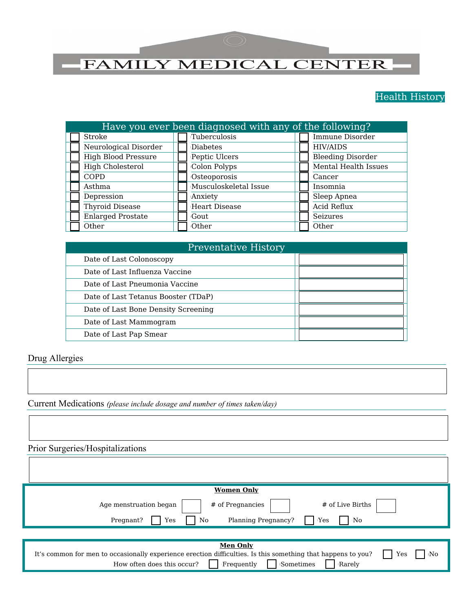## FAMILY MEDICAL CENTER

### Health History

| Have you ever been diagnosed with any of the following? |                       |                          |  |  |  |
|---------------------------------------------------------|-----------------------|--------------------------|--|--|--|
| Stroke                                                  | Tuberculosis          | Immune Disorder          |  |  |  |
| Neurological Disorder                                   | <b>Diabetes</b>       | <b>HIV/AIDS</b>          |  |  |  |
| <b>High Blood Pressure</b>                              | Peptic Ulcers         | <b>Bleeding Disorder</b> |  |  |  |
| High Cholesterol                                        | Colon Polyps          | Mental Health Issues     |  |  |  |
| <b>COPD</b>                                             | Osteoporosis          | Cancer                   |  |  |  |
| Asthma                                                  | Musculoskeletal Issue | Insomnia                 |  |  |  |
| Depression                                              | Anxiety               | Sleep Apnea              |  |  |  |
| <b>Thyroid Disease</b>                                  | <b>Heart Disease</b>  | Acid Reflux              |  |  |  |
| <b>Enlarged Prostate</b>                                | Gout                  | Seizures                 |  |  |  |
| Other                                                   | Other                 | Other                    |  |  |  |

| <b>Preventative History</b>         |  |  |  |  |
|-------------------------------------|--|--|--|--|
| Date of Last Colonoscopy            |  |  |  |  |
| Date of Last Influenza Vaccine      |  |  |  |  |
| Date of Last Pneumonia Vaccine      |  |  |  |  |
| Date of Last Tetanus Booster (TDaP) |  |  |  |  |
| Date of Last Bone Density Screening |  |  |  |  |
| Date of Last Mammogram              |  |  |  |  |
| Date of Last Pap Smear              |  |  |  |  |

Drug Allergies

Current Medications *(please include dosage and number of times taken/day)*

Prior Surgeries/Hospitalizations **Women Only** Age menstruation began  $\parallel$  # of Pregnancies  $\parallel$  # of Live Births Pregnant? Yes No Planning Pregnancy? Yes No **Men Only** It's common for men to occasionally experience erection difficulties. Is this something that happens to you? How often does this occur?  $\Box$  Frequently  $\Box$  Sometimes  $\Box$  Rarely  $\Box$  No Frequently